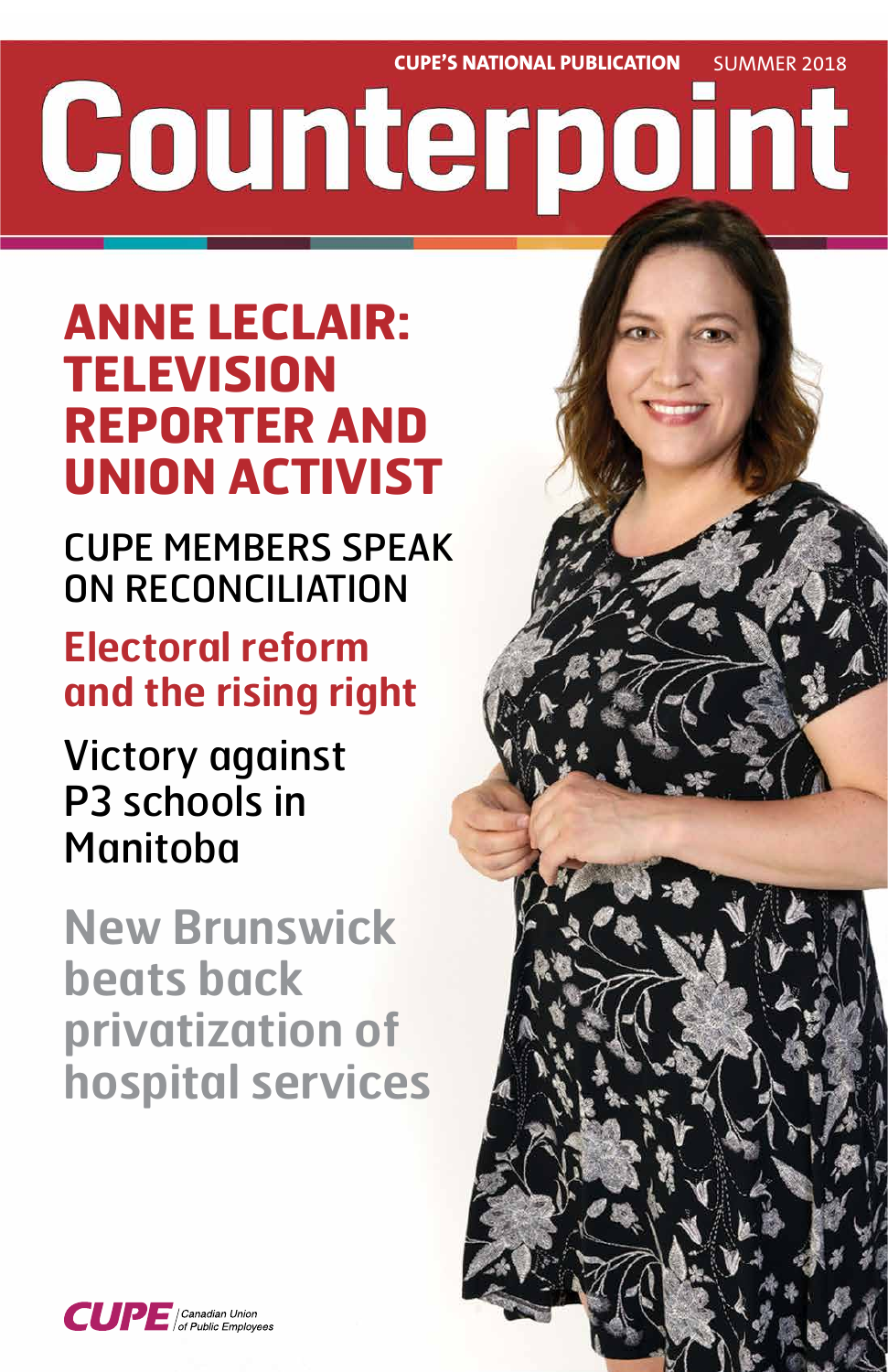**CUPE'S NATIONAL PUBLICATION** SUMMER 2018 Counterpoint

# **ANNE LECLAIR: TELEVISION REPORTER AND UNION ACTIVIST**

CUPE MEMBERS SPEAK ON RECONCILIATION

# **Electoral reform and the rising right**

Victory against P3 schools in Manitoba

**New Brunswick beats back** 



# **privatization of hospital services**

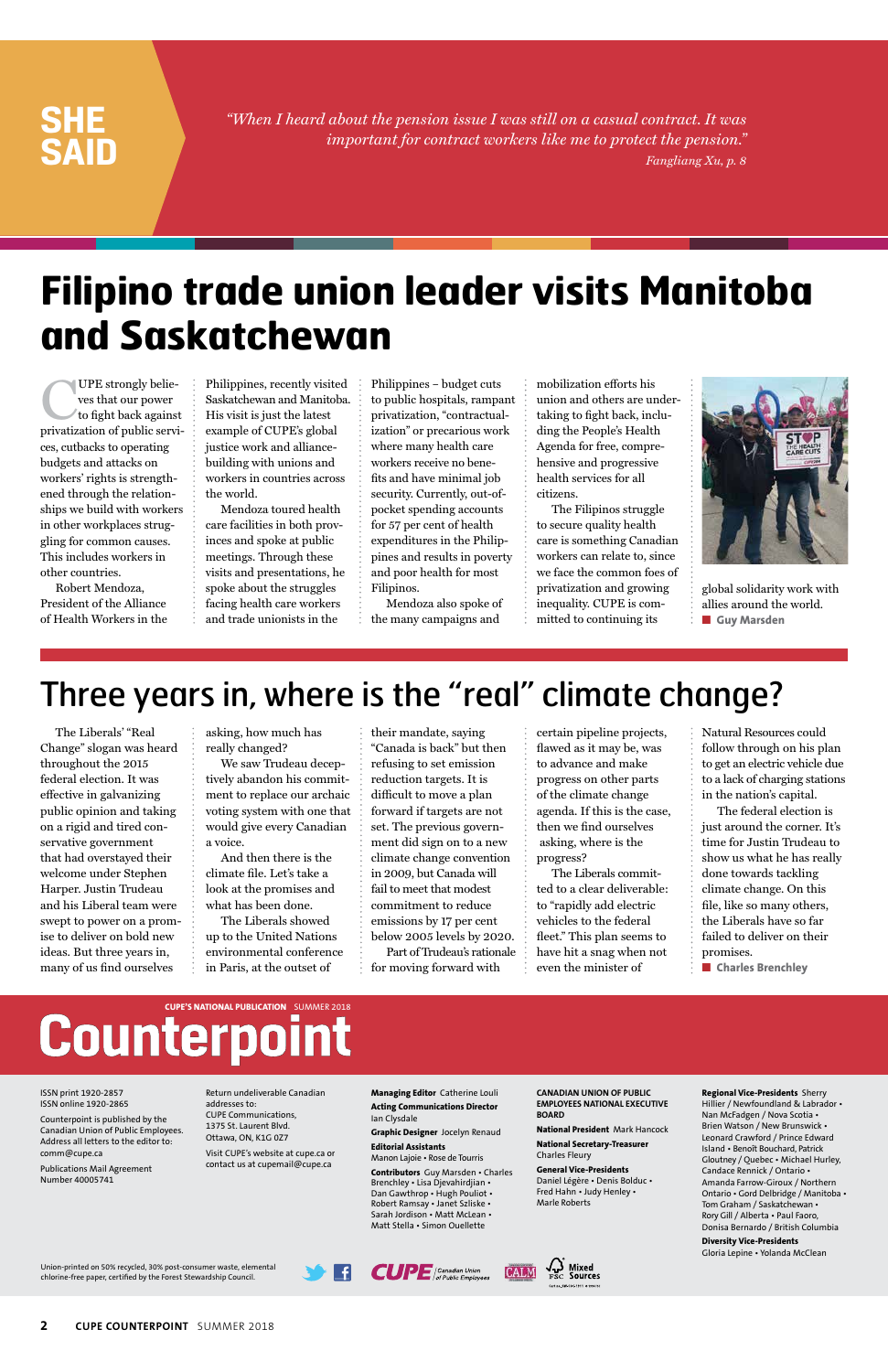**2 CUPE COUNTERPOINT** SUMMER 2018

The Liberals' "Real Change" slogan was heard throughout the 2015 federal election. It was effective in galvanizing public opinion and taking on a rigid and tired conservative government that had overstayed their welcome under Stephen Harper. Justin Trudeau and his Liberal team were swept to power on a promise to deliver on bold new ideas. But three years in, many of us find ourselves

asking, how much has really changed?

We saw Trudeau deceptively abandon his commitment to replace our archaic voting system with one that would give every Canadian a voice.

And then there is the climate file. Let's take a look at the promises and what has been done.

The Liberals showed up to the United Nations environmental conference in Paris, at the outset of

their mandate, saying "Canada is back" but then refusing to set emission reduction targets. It is difficult to move a plan forward if targets are not set. The previous government did sign on to a new climate change convention in 2009, but Canada will fail to meet that modest commitment to reduce emissions by 17 per cent below 2005 levels by 2020.

Part of Trudeau's rationale for moving forward with

certain pipeline projects, flawed as it may be, was to advance and make progress on other parts of the climate change agenda. If this is the case, then we find ourselves asking, where is the progress?

The Liberals committed to a clear deliverable: to "rapidly add electric vehicles to the federal fleet." This plan seems to have hit a snag when not even the minister of

Natural Resources could follow through on his plan to get an electric vehicle due to a lack of charging stations in the nation's capital.

The federal election is just around the corner. It's time for Justin Trudeau to show us what he has really done towards tackling climate change. On this file, like so many others, the Liberals have so far failed to deliver on their promises.

■ **Charles Brenchley** 

UPE strongly belie-<br>ves that our power<br>to fight back agains<br>privatization of public servi ves that our power to fight back against privatization of public services, cutbacks to operating budgets and attacks on workers' rights is strengthened through the relationships we build with workers in other workplaces struggling for common causes. This includes workers in other countries.

*"When I heard about the pension issue I was still on a casual contract. It was important for contract workers like me to protect the pension." Fangliang Xu, p. 8*

## **SHE SAID**

Union-printed on 50% recycled, 30% post-consumer waste, elemental chlorine-free paper, certified by the Forest Stewardship Council.





#### ISSN print 1920-2857 ISSN online 1920-2865

Counterpoint is published by the Canadian Union of Public Employees. Address all letters to the editor to: comm@cupe.ca

Publications Mail Agreement Number 40005741

Return undeliverable Canadian addresses to: CUPE Communications, 1375 St. Laurent Blvd. Ottawa, ON, K1G 0Z7

Visit CUPE's website at cupe.ca or contact us at cupemail@cupe.ca

global solidarity work with allies around the world. ■ **Guy Marsden** 

**Managing Editor** Catherine Louli **Acting Communications Director**

Ian Clysdale

**Graphic Designer** Jocelyn Renaud

**Editorial Assistants**

Manon Lajoie • Rose de Tourris

**Contributors** Guy Marsden • Charles Brenchley • Lisa Djevahirdjian • Dan Gawthrop • Hugh Pouliot • Robert Ramsay • Janet Szliske • Sarah Jordison • Matt McLean • Matt Stella • Simon Ouellette

**CANADIAN UNION OF PUBLIC EMPLOYEES NATIONAL EXECUTIVE BOARD**

**National President** Mark Hancock

**National Secretary-Treasurer** Charles Fleury

**General Vice-Presidents** Daniel Légère • Denis Bolduc • Fred Hahn • Judy Henley • Marle Roberts

#### **Regional Vice-Presidents** Sherry Hillier / Newfoundland & Labrador • Nan McFadgen / Nova Scotia • Brien Watson / New Brunswick • Leonard Crawford / Prince Edward Island • Benoît Bouchard, Patrick Gloutney / Quebec • Michael Hurley, Candace Rennick / Ontario • Amanda Farrow-Giroux / Northern Ontario • Gord Delbridge / Manitoba • Tom Graham / Saskatchewan • Rory Gill / Alberta • Paul Faoro, Donisa Bernardo / British Columbia

**Diversity Vice-Presidents** Gloria Lepine • Yolanda McClean

# Counterpoint

Robert Mendoza, President of the Alliance of Health Workers in the

Philippines, recently visited Saskatchewan and Manitoba. His visit is just the latest example of CUPE's global justice work and alliancebuilding with unions and workers in countries across the world.

Mendoza toured health care facilities in both provinces and spoke at public meetings. Through these visits and presentations, he spoke about the struggles facing health care workers and trade unionists in the

Philippines – budget cuts to public hospitals, rampant privatization, "contractualization" or precarious work where many health care workers receive no benefits and have minimal job security. Currently, out-ofpocket spending accounts for 57 per cent of health expenditures in the Philippines and results in poverty and poor health for most Filipinos.

Mendoza also spoke of the many campaigns and

mobilization efforts his union and others are undertaking to fight back, including the People's Health Agenda for free, comprehensive and progressive health services for all citizens.

The Filipinos struggle to secure quality health care is something Canadian workers can relate to, since we face the common foes of privatization and growing inequality. CUPE is committed to continuing its



## Three years in, where is the "real" climate change?

# **Filipino trade union leader visits Manitoba and Saskatchewan**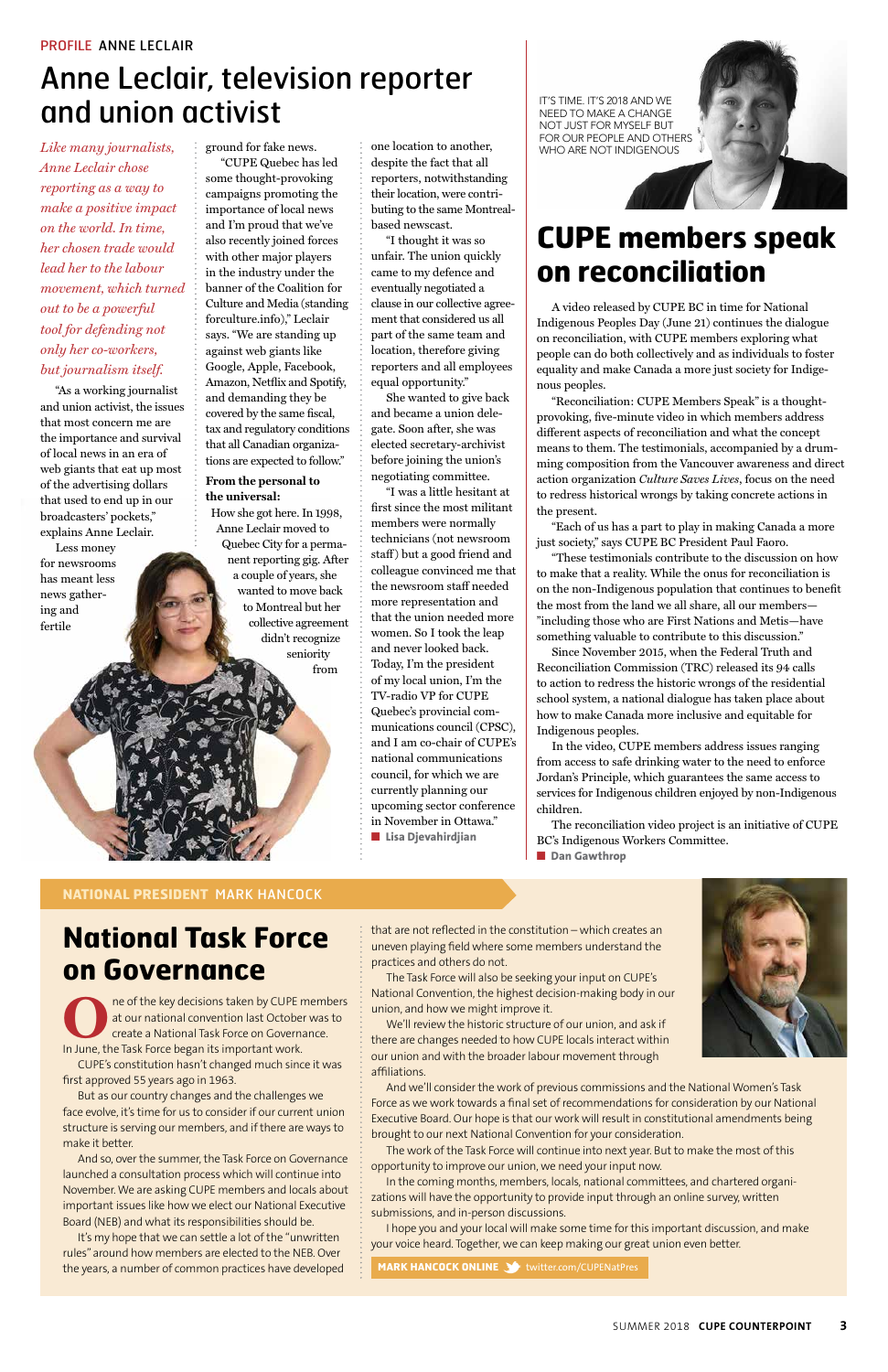### **National Task Force on Governance**



**ORIGINAL THE MET A CONFIDENT OF THE KEY decisions taken by CUPE members** at our national convention last October was to create a National Task Force on Governance. In June, the Task Force began its important work.

CUPE's constitution hasn't changed much since it was first approved 55 years ago in 1963.

But as our country changes and the challenges we face evolve, it's time for us to consider if our current union structure is serving our members, and if there are ways to make it better.

And so, over the summer, the Task Force on Governance launched a consultation process which will continue into November. We are asking CUPE members and locals about important issues like how we elect our National Executive Board (NEB) and what its responsibilities should be.

It's my hope that we can settle a lot of the "unwritten rules" around how members are elected to the NEB. Over the years, a number of common practices have developed

#### **NATIONAL PRESIDENT** MARK HANCOCK

*Like many journalists, Anne Leclair chose reporting as a way to make a positive impact on the world. In time, her chosen trade would lead her to the labour movement, which turned out to be a powerful tool for defending not only her co-workers, but journalism itself.* 

"As a working journalist and union activist, the issues that most concern me are the importance and survival of local news in an era of web giants that eat up most of the advertising dollars that used to end up in our broadcasters' pockets," explains Anne Leclair.

Less money for newsrooms has meant less news gathering and fertile

ground for fake news.

"CUPE Quebec has led some thought-provoking campaigns promoting the importance of local news and I'm proud that we've also recently joined forces with other major players in the industry under the banner of the Coalition for Culture and Media (standing forculture.info)," Leclair says. "We are standing up against web giants like Google, Apple, Facebook, Amazon, Netflix and Spotify, and demanding they be covered by the same fiscal, tax and regulatory conditions that all Canadian organizations are expected to follow."

#### **From the personal to the universal:**

 How she got here. In 1998, Anne Leclair moved to Quebec City for a permanent reporting gig. After a couple of years, she wanted to move back to Montreal but her collective agreement didn't recognize seniority from

one location to another, despite the fact that all reporters, notwithstanding their location, were contributing to the same Montrealbased newscast.

> The reconciliation video project is an initiative of CUPE BC's Indigenous Workers Committee. ■ **Dan Gawthrop**

"I thought it was so unfair. The union quickly came to my defence and eventually negotiated a clause in our collective agreement that considered us all part of the same team and location, therefore giving reporters and all employees equal opportunity."

She wanted to give back and became a union delegate. Soon after, she was elected secretary-archivist before joining the union's negotiating committee.

"I was a little hesitant at first since the most militant members were normally technicians (not newsroom staff) but a good friend and colleague convinced me that the newsroom staff needed more representation and that the union needed more women. So I took the leap and never looked back. Today, I'm the president of my local union, I'm the TV-radio VP for CUPE Quebec's provincial communications council (CPSC), and I am co-chair of CUPE's national communications council, for which we are currently planning our upcoming sector conference in November in Ottawa." ■ **Lisa Djevahirdjian**

## Anne Leclair, television reporter and union activist



A video released by CUPE BC in time for National Indigenous Peoples Day (June 21) continues the dialogue on reconciliation, with CUPE members exploring what people can do both collectively and as individuals to foster equality and make Canada a more just society for Indigenous peoples.

"Reconciliation: CUPE Members Speak" is a thoughtprovoking, five-minute video in which members address different aspects of reconciliation and what the concept means to them. The testimonials, accompanied by a drumming composition from the Vancouver awareness and direct action organization *Culture Saves Lives*, focus on the need to redress historical wrongs by taking concrete actions in the present.

"Each of us has a part to play in making Canada a more just society," says CUPE BC President Paul Faoro.

"These testimonials contribute to the discussion on how to make that a reality. While the onus for reconciliation is on the non-Indigenous population that continues to benefit the most from the land we all share, all our members— "including those who are First Nations and Metis—have something valuable to contribute to this discussion."

Since November 2015, when the Federal Truth and Reconciliation Commission (TRC) released its 94 calls to action to redress the historic wrongs of the residential school system, a national dialogue has taken place about how to make Canada more inclusive and equitable for Indigenous peoples.

In the video, CUPE members address issues ranging from access to safe drinking water to the need to enforce Jordan's Principle, which guarantees the same access to services for Indigenous children enjoyed by non-Indigenous children.

that are not reflected in the constitution – which creates an uneven playing field where some members understand the practices and others do not.

The Task Force will also be seeking your input on CUPE's National Convention, the highest decision-making body in our



union, and how we might improve it.

We'll review the historic structure of our union, and ask if there are changes needed to how CUPE locals interact within our union and with the broader labour movement through affiliations.

And we'll consider the work of previous commissions and the National Women's Task Force as we work towards a final set of recommendations for consideration by our National Executive Board. Our hope is that our work will result in constitutional amendments being brought to our next National Convention for your consideration.

The work of the Task Force will continue into next year. But to make the most of this opportunity to improve our union, we need your input now.

In the coming months, members, locals, national committees, and chartered organizations will have the opportunity to provide input through an online survey, written submissions, and in-person discussions.

I hope you and your local will make some time for this important discussion, and make your voice heard. Together, we can keep making our great union even better.

**MARK HANCOCK ONLINE 3** twitter.com/CUPENatPres

IT'S TIME. IT'S 2018 AND WE NEED TO MAKE A CHANGE NOT JUST FOR MYSELF BUT FOR OUR PEOPLE AND OTHERS WHO ARE NOT INDIGENOUS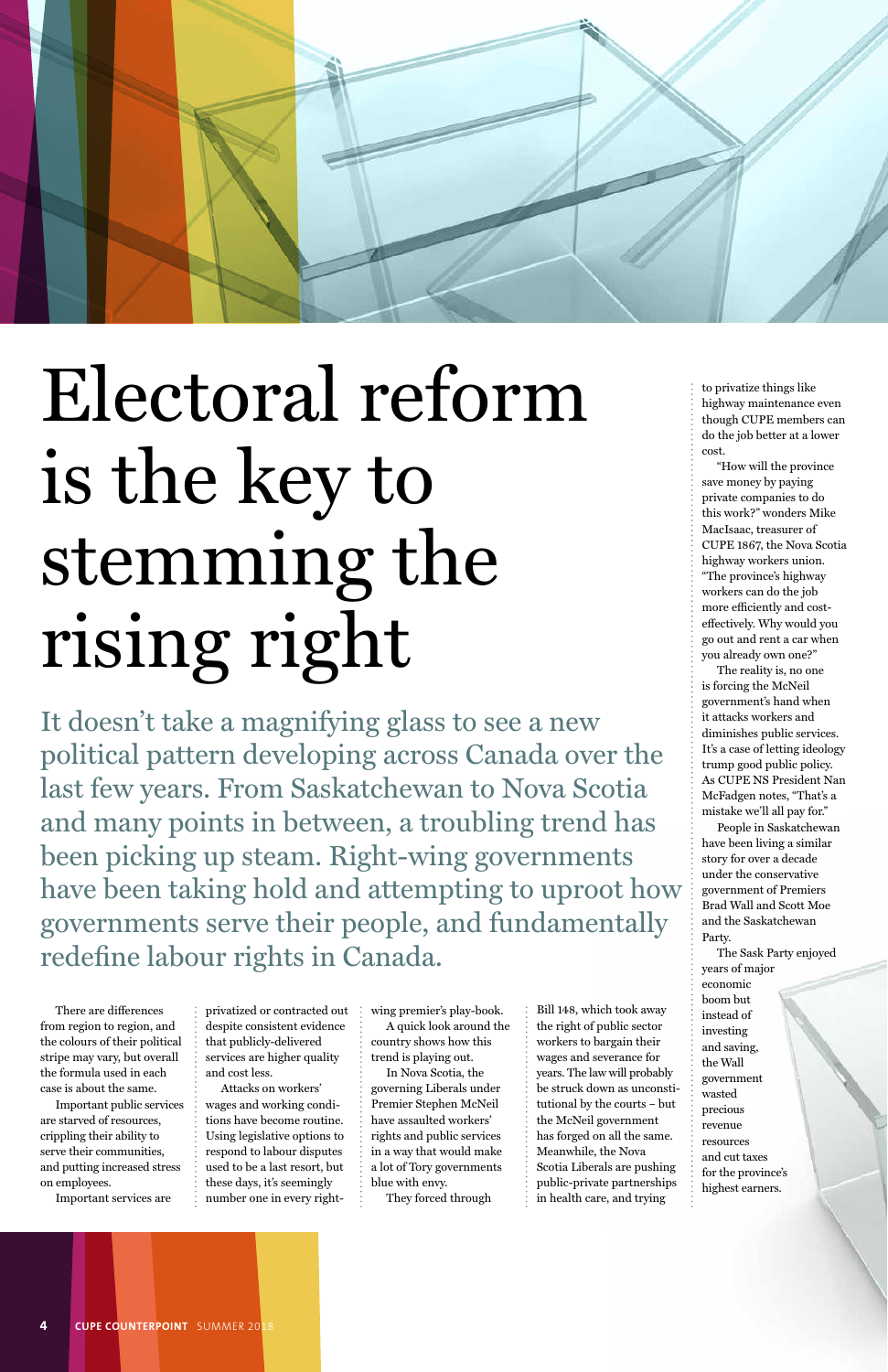There are differences from region to region, and the colours of their political stripe may vary, but overall the formula used in each case is about the same.

Important public services are starved of resources, crippling their ability to serve their communities, and putting increased stress on employees.

Important services are

despite consistent evidence that publicly-delivered services are higher quality and cost less.

privatized or contracted out wing premier's play-book.

Attacks on workers' wages and working conditions have become routine. Using legislative options to respond to labour disputes used to be a last resort, but these days, it's seemingly number one in every right-

A quick look around the country shows how this trend is playing out.

In Nova Scotia, the governing Liberals under Premier Stephen McNeil have assaulted workers' rights and public services in a way that would make a lot of Tory governments blue with envy.

They forced through

Bill 148, which took away the right of public sector workers to bargain their wages and severance for years. The law will probably be struck down as unconstitutional by the courts – but the McNeil government has forged on all the same. Meanwhile, the Nova Scotia Liberals are pushing public-private partnerships in health care, and trying

to privatize things like highway maintenance even though CUPE members can do the job better at a lower cost.

"How will the province save money by paying private companies to do this work?" wonders Mike MacIsaac, treasurer of CUPE 1867, the Nova Scotia highway workers union. "The province's highway workers can do the job more efficiently and costeffectively. Why would you go out and rent a car when you already own one?"

The reality is, no one is forcing the McNeil government's hand when it attacks workers and diminishes public services. It's a case of letting ideology trump good public policy. As CUPE NS President Nan McFadgen notes, "That's a mistake we'll all pay for."

People in Saskatchewan have been living a similar story for over a decade under the conservative government of Premiers Brad Wall and Scott Moe and the Saskatchewan Party.

The Sask Party enjoyed years of major economic boom but

instead of investing and saving, the Wall government wasted precious revenue resources and cut taxes for the province's highest earners.

**4 CUPE COUNTERPOINT** SUMMER 2018



# Electoral reform is the key to stemming the rising right

It doesn't take a magnifying glass to see a new political pattern developing across Canada over the last few years. From Saskatchewan to Nova Scotia and many points in between, a troubling trend has been picking up steam. Right-wing governments have been taking hold and attempting to uproot how governments serve their people, and fundamentally redefine labour rights in Canada.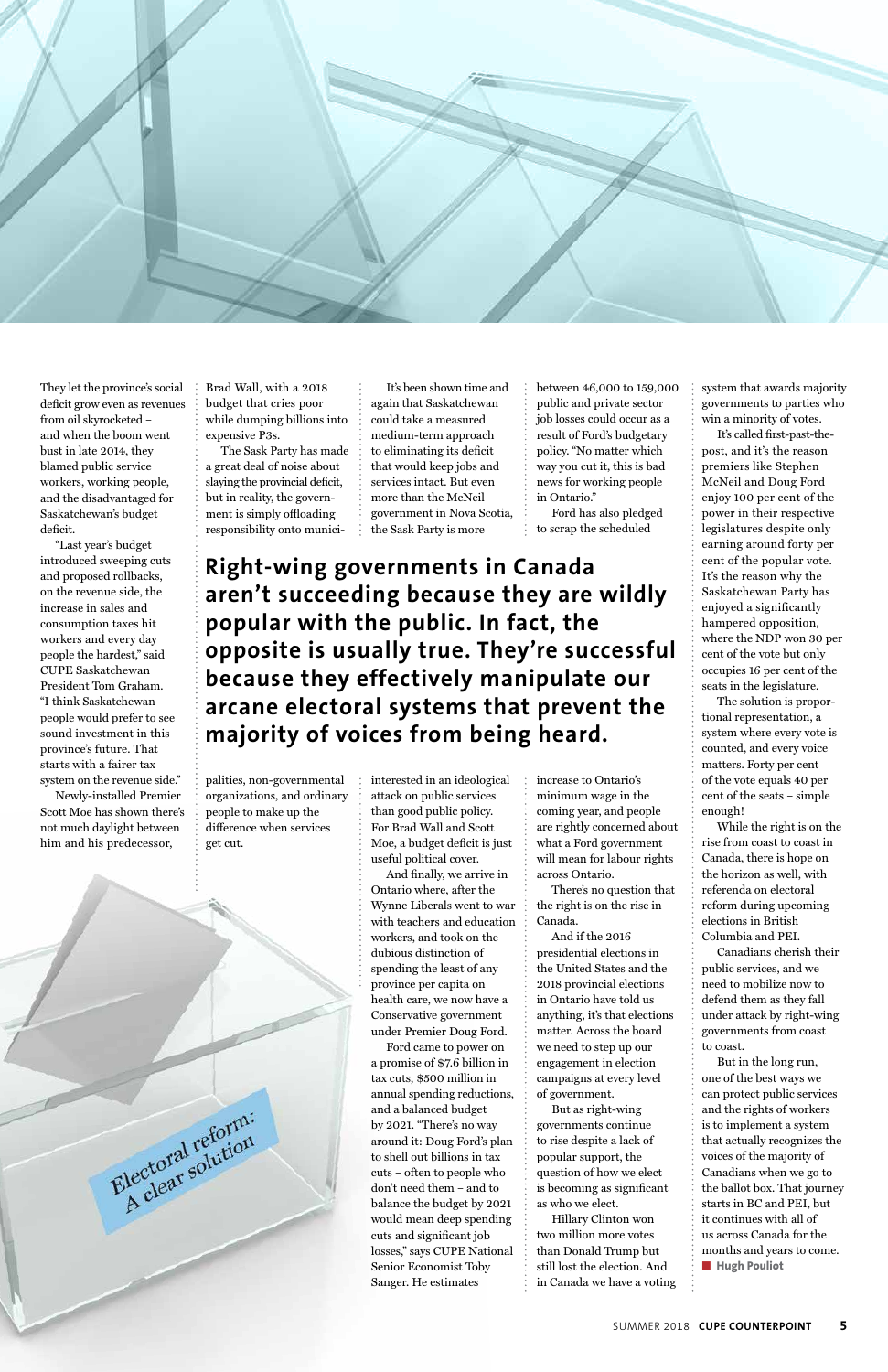

They let the province's social deficit grow even as revenues from oil skyrocketed – and when the boom went bust in late 2014, they blamed public service workers, working people, and the disadvantaged for Saskatchewan's budget deficit.

"Last year's budget introduced sweeping cuts and proposed rollbacks, on the revenue side, the increase in sales and consumption taxes hit workers and every day people the hardest," said CUPE Saskatchewan President Tom Graham. "I think Saskatchewan people would prefer to see sound investment in this province's future. That starts with a fairer tax system on the revenue side."

Newly-installed Premier Scott Moe has shown there's not much daylight between him and his predecessor,

Brad Wall, with a 2018 budget that cries poor while dumping billions into expensive P3s.

The Sask Party has made a great deal of noise about slaying the provincial deficit, but in reality, the government is simply offloading responsibility onto munici-

palities, non-governmental organizations, and ordinary people to make up the difference when services get cut.

It's been shown time and again that Saskatchewan could take a measured medium-term approach to eliminating its deficit that would keep jobs and services intact. But even more than the McNeil government in Nova Scotia, the Sask Party is more

interested in an ideological attack on public services than good public policy. For Brad Wall and Scott Moe, a budget deficit is just useful political cover.

And finally, we arrive in Ontario where, after the Wynne Liberals went to war with teachers and education workers, and took on the dubious distinction of spending the least of any province per capita on health care, we now have a Conservative government under Premier Doug Ford. Ford came to power on a promise of \$7.6 billion in tax cuts, \$500 million in annual spending reductions, and a balanced budget by 2021. "There's no way around it: Doug Ford's plan to shell out billions in tax cuts – often to people who don't need them – and to balance the budget by 2021 would mean deep spending cuts and significant job losses," says CUPE National Senior Economist Toby Sanger. He estimates

between 46,000 to 159,000 public and private sector job losses could occur as a result of Ford's budgetary policy. "No matter which way you cut it, this is bad news for working people in Ontario."

Ford has also pledged to scrap the scheduled

increase to Ontario's minimum wage in the coming year, and people are rightly concerned about what a Ford government will mean for labour rights across Ontario.

There's no question that the right is on the rise in Canada.

And if the 2016 presidential elections in the United States and the 2018 provincial elections in Ontario have told us anything, it's that elections matter. Across the board we need to step up our engagement in election campaigns at every level of government. But as right-wing governments continue to rise despite a lack of popular support, the question of how we elect is becoming as significant as who we elect. Hillary Clinton won two million more votes than Donald Trump but still lost the election. And in Canada we have a voting system that awards majority governments to parties who win a minority of votes.

It's called first-past-thepost, and it's the reason premiers like Stephen McNeil and Doug Ford enjoy 100 per cent of the power in their respective legislatures despite only earning around forty per cent of the popular vote. It's the reason why the Saskatchewan Party has enjoyed a significantly hampered opposition, where the NDP won 30 per cent of the vote but only occupies 16 per cent of the seats in the legislature.

The solution is proportional representation, a system where every vote is counted, and every voice matters. Forty per cent of the vote equals 40 per cent of the seats – simple enough!

While the right is on the rise from coast to coast in Canada, there is hope on the horizon as well, with referenda on electoral reform during upcoming elections in British Columbia and PEI.

Canadians cherish their public services, and we need to mobilize now to defend them as they fall



under attack by right-wing governments from coast to coast.

But in the long run, one of the best ways we can protect public services and the rights of workers is to implement a system that actually recognizes the voices of the majority of Canadians when we go to the ballot box. That journey starts in BC and PEI, but it continues with all of us across Canada for the months and years to come. ■ **Hugh Pouliot**

**Right-wing governments in Canada aren't succeeding because they are wildly popular with the public. In fact, the opposite is usually true. They're successful because they effectively manipulate our arcane electoral systems that prevent the majority of voices from being heard.**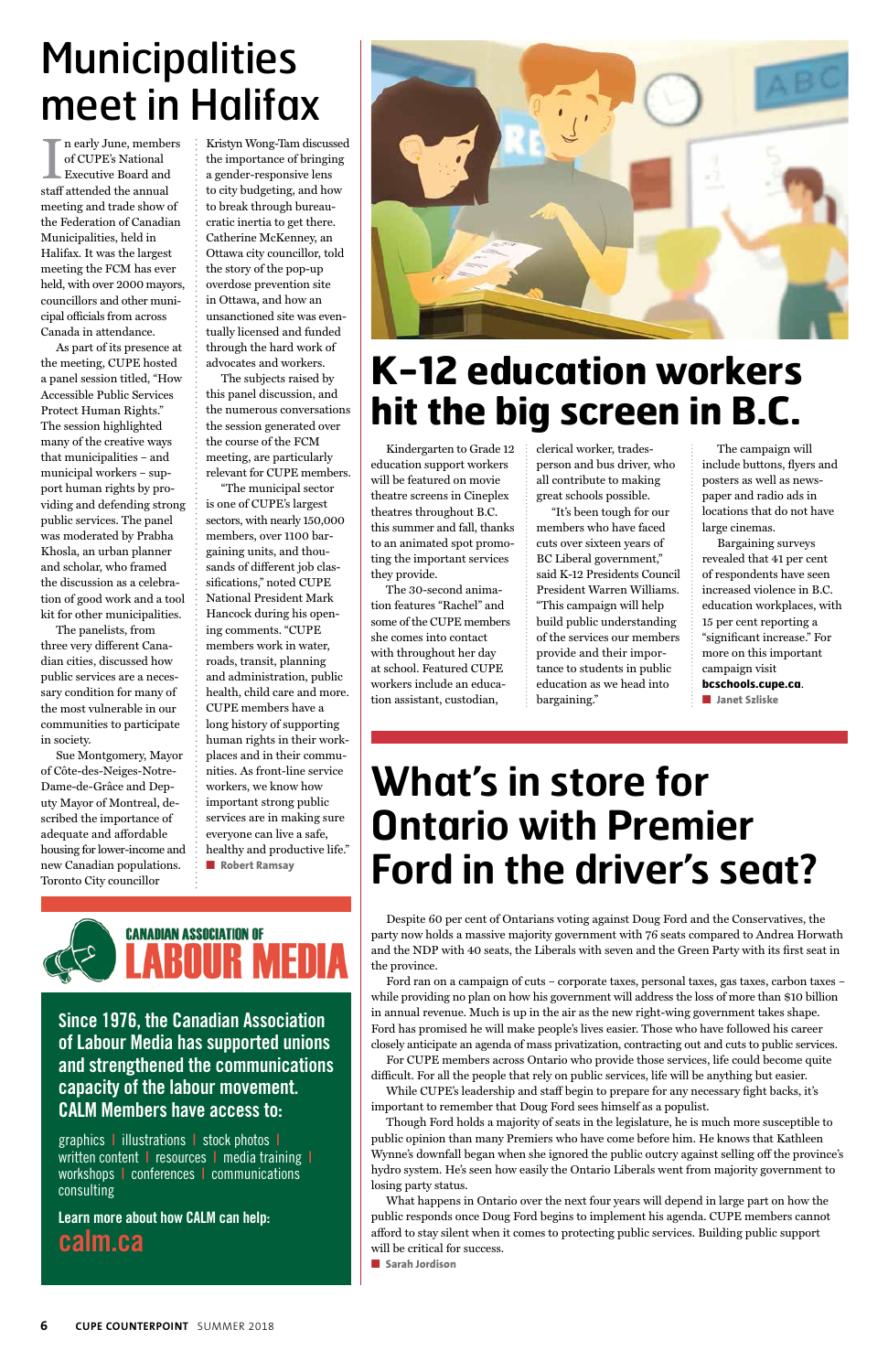In early June, member of CUPE's National Executive Board and staff attended the annual n early June, members of CUPE's National Executive Board and meeting and trade show of the Federation of Canadian Municipalities, held in Halifax. It was the largest meeting the FCM has ever held, with over 2000 mayors, councillors and other municipal officials from across Canada in attendance.

As part of its presence at the meeting, CUPE hosted a panel session titled, "How Accessible Public Services Protect Human Rights." The session highlighted many of the creative ways that municipalities – and municipal workers – support human rights by providing and defending strong public services. The panel was moderated by Prabha Khosla, an urban planner and scholar, who framed the discussion as a celebration of good work and a tool kit for other municipalities.

The panelists, from three very different Canadian cities, discussed how public services are a necessary condition for many of the most vulnerable in our communities to participate in society.

Sue Montgomery, Mayor of Côte-des-Neiges-Notre-Dame-de-Grâce and Deputy Mayor of Montreal, described the importance of adequate and affordable housing for lower-income and new Canadian populations. Toronto City councillor

Kristyn Wong-Tam discussed the importance of bringing a gender-responsive lens to city budgeting, and how to break through bureaucratic inertia to get there. Catherine McKenney, an Ottawa city councillor, told the story of the pop-up overdose prevention site in Ottawa, and how an unsanctioned site was eventually licensed and funded through the hard work of advocates and workers.

The subjects raised by this panel discussion, and the numerous conversations the session generated over the course of the FCM meeting, are particularly relevant for CUPE members.

"The municipal sector is one of CUPE's largest sectors, with nearly 150,000 members, over 1100 bargaining units, and thousands of different job classifications," noted CUPE National President Mark Hancock during his opening comments. "CUPE members work in water, roads, transit, planning and administration, public health, child care and more. CUPE members have a long history of supporting human rights in their workplaces and in their communities. As front-line service workers, we know how important strong public services are in making sure everyone can live a safe, healthy and productive life." ■ **Robert Ramsay**



Kindergarten to Grade 12 education support workers will be featured on movie theatre screens in Cineplex theatres throughout B.C. this summer and fall, thanks to an animated spot promoting the important services they provide.

# **Municipalities** meet in Halifax

The 30-second animation features "Rachel" and some of the CUPE members she comes into contact with throughout her day at school. Featured CUPE workers include an education assistant, custodian,

Ī

clerical worker, tradesperson and bus driver, who all contribute to making great schools possible.

"It's been tough for our members who have faced cuts over sixteen years of BC Liberal government," said K-12 Presidents Council President Warren Williams. "This campaign will help build public understanding of the services our members provide and their importance to students in public education as we head into bargaining."

The campaign will include buttons, flyers and posters as well as newspaper and radio ads in locations that do not have large cinemas.

Bargaining surveys revealed that 41 per cent of respondents have seen increased violence in B.C. education workplaces, with 15 per cent reporting a "significant increase." For more on this important campaign visit **bcschools.cupe.ca**.

■ **Janet Szliske**

Despite 60 per cent of Ontarians voting against Doug Ford and the Conservatives, the party now holds a massive majority government with 76 seats compared to Andrea Horwath and the NDP with 40 seats, the Liberals with seven and the Green Party with its first seat in the province.

Ford ran on a campaign of cuts – corporate taxes, personal taxes, gas taxes, carbon taxes – while providing no plan on how his government will address the loss of more than \$10 billion



in annual revenue. Much is up in the air as the new right-wing government takes shape. Ford has promised he will make people's lives easier. Those who have followed his career closely anticipate an agenda of mass privatization, contracting out and cuts to public services.

For CUPE members across Ontario who provide those services, life could become quite difficult. For all the people that rely on public services, life will be anything but easier.

While CUPE's leadership and staff begin to prepare for any necessary fight backs, it's important to remember that Doug Ford sees himself as a populist.

Though Ford holds a majority of seats in the legislature, he is much more susceptible to public opinion than many Premiers who have come before him. He knows that Kathleen Wynne's downfall began when she ignored the public outcry against selling off the province's hydro system. He's seen how easily the Ontario Liberals went from majority government to losing party status.

What happens in Ontario over the next four years will depend in large part on how the public responds once Doug Ford begins to implement his agenda. CUPE members cannot afford to stay silent when it comes to protecting public services. Building public support will be critical for success.

■ **Sarah Jordison**

## **K-12 education workers hit the big screen in B.C.**

## **What's in store for Ontario with Premier Ford in the driver's seat?**

**Since 1976, the Canadian Association of Labour Media has supported unions and strengthened the communications capacity of the labour movement. CALM Members have access to:**

graphics **|** illustrations **|** stock photos **|** written content **|** resources **|** media training **|** workshops **|** conferences **|** communications consulting

**Learn more about how CALM can help: calm.ca**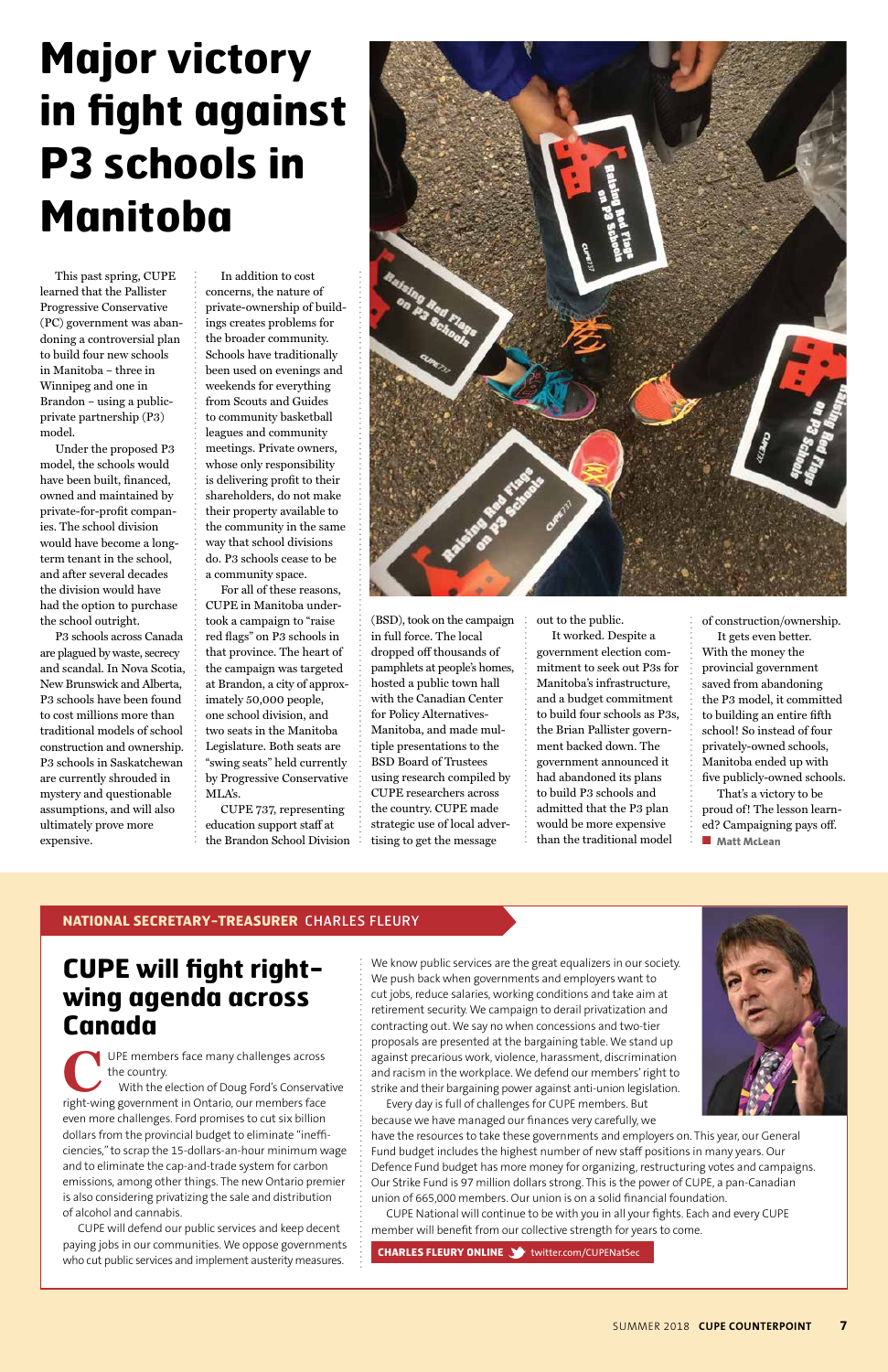This past spring, CUPE learned that the Pallister Progressive Conservative (PC) government was abandoning a controversial plan to build four new schools in Manitoba – three in Winnipeg and one in Brandon – using a publicprivate partnership (P3) model.

Under the proposed P3 model, the schools would have been built, financed, owned and maintained by private-for-profit companies. The school division would have become a longterm tenant in the school, and after several decades the division would have had the option to purchase the school outright.

P3 schools across Canada are plagued by waste, secrecy and scandal. In Nova Scotia, New Brunswick and Alberta, P3 schools have been found to cost millions more than traditional models of school construction and ownership. P3 schools in Saskatchewan are currently shrouded in mystery and questionable assumptions, and will also ultimately prove more expensive.

In addition to cost concerns, the nature of private-ownership of buildings creates problems for the broader community. Schools have traditionally been used on evenings and weekends for everything from Scouts and Guides to community basketball leagues and community meetings. Private owners, whose only responsibility is delivering profit to their shareholders, do not make their property available to the community in the same way that school divisions do. P3 schools cease to be a community space.

> That's a victory to be proud of! The lesson learned? Campaigning pays off. ■ **Matt McLean**

For all of these reasons, CUPE in Manitoba undertook a campaign to "raise red flags" on P3 schools in that province. The heart of the campaign was targeted at Brandon, a city of approx imately 50,000 people, one school division, and two seats in the Manitoba Legislature. Both seats are "swing seats" held currently by Progressive Conservative MLA's.

CUPE 737, representing education support staff at the Brandon School Division



(BSD), took on the campaign in full force. The local dropped off thousands of pamphlets at people's homes, hosted a public town hall with the Canadian Center for Policy Alternatives-Manitoba, and made multiple presentations to the BSD Board of Trustees using research compiled by CUPE researchers across the country. CUPE made strategic use of local advertising to get the message

out to the public.

It worked. Despite a government election commitment to seek out P3s for Manitoba's infrastructure, and a budget commitment to build four schools as P3s, the Brian Pallister government backed down. The government announced it had abandoned its plans to build P3 schools and admitted that the P3 plan would be more expensive than the traditional model

of construction/ownership.

It gets even better. With the money the provincial government saved from abandoning the P3 model, it committed to building an entire fifth school! So instead of four privately-owned schools, Manitoba ended up with five publicly-owned schools.

#### **CUPE will fight rightwing agenda across**

#### **Canada**

**C**UPE members face many challenges across the country.

With the election of Doug Ford's Conservative right-wing government in Ontario, our members face even more challenges. Ford promises to cut six billion dollars from the provincial budget to eliminate "inefficiencies," to scrap the 15-dollars-an-hour minimum wage and to eliminate the cap-and-trade system for carbon emissions, among other things. The new Ontario premier is also considering privatizing the sale and distribution of alcohol and cannabis.

CUPE will defend our public services and keep decent paying jobs in our communities. We oppose governments who cut public services and implement austerity measures.

#### **NATIONAL SECRETARY-TREASURER** CHARLES FLEURY

We know public services are the great equalizers in our society. We push back when governments and employers want to cut jobs, reduce salaries, working conditions and take aim at retirement security. We campaign to derail privatization and contracting out. We say no when concessions and two-tier proposals are presented at the bargaining table. We stand up against precarious work, violence, harassment, discrimination and racism in the workplace. We defend our members' right to strike and their bargaining power against anti-union legislation. Every day is full of challenges for CUPE members. But

because we have managed our finances very carefully, we



have the resources to take these governments and employers on. This year, our General Fund budget includes the highest number of new staff positions in many years. Our Defence Fund budget has more money for organizing, restructuring votes and campaigns. Our Strike Fund is 97 million dollars strong. This is the power of CUPE, a pan-Canadian union of 665,000 members. Our union is on a solid financial foundation.

CUPE National will continue to be with you in all your fights. Each and every CUPE member will benefit from our collective strength for years to come.

**CHARLES FLEURY ONLINE Solution to the CHARLES FLEURY ONLINE Statement of the complex set of the CHARLES FLEURY** 

# **Major victory in fight against P3 schools in Manitoba**